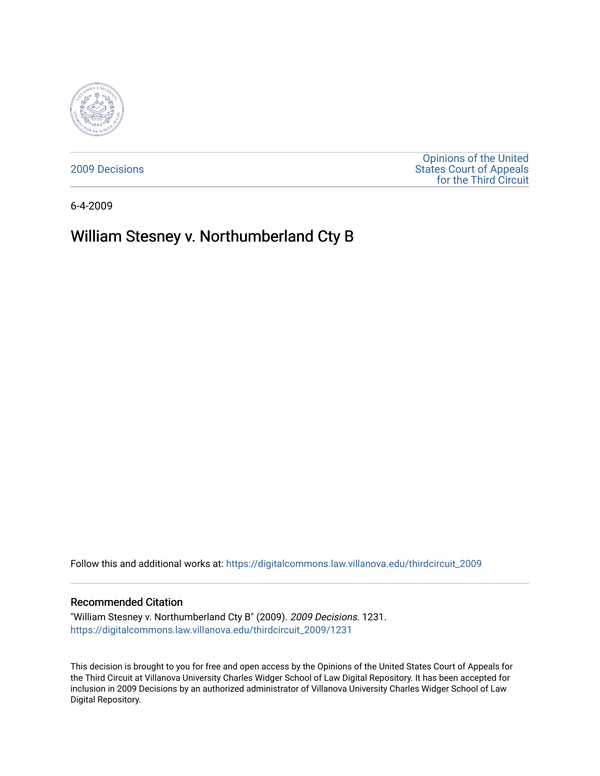

[2009 Decisions](https://digitalcommons.law.villanova.edu/thirdcircuit_2009)

[Opinions of the United](https://digitalcommons.law.villanova.edu/thirdcircuit)  [States Court of Appeals](https://digitalcommons.law.villanova.edu/thirdcircuit)  [for the Third Circuit](https://digitalcommons.law.villanova.edu/thirdcircuit) 

6-4-2009

# William Stesney v. Northumberland Cty B

Follow this and additional works at: [https://digitalcommons.law.villanova.edu/thirdcircuit\\_2009](https://digitalcommons.law.villanova.edu/thirdcircuit_2009?utm_source=digitalcommons.law.villanova.edu%2Fthirdcircuit_2009%2F1231&utm_medium=PDF&utm_campaign=PDFCoverPages) 

### Recommended Citation

"William Stesney v. Northumberland Cty B" (2009). 2009 Decisions. 1231. [https://digitalcommons.law.villanova.edu/thirdcircuit\\_2009/1231](https://digitalcommons.law.villanova.edu/thirdcircuit_2009/1231?utm_source=digitalcommons.law.villanova.edu%2Fthirdcircuit_2009%2F1231&utm_medium=PDF&utm_campaign=PDFCoverPages) 

This decision is brought to you for free and open access by the Opinions of the United States Court of Appeals for the Third Circuit at Villanova University Charles Widger School of Law Digital Repository. It has been accepted for inclusion in 2009 Decisions by an authorized administrator of Villanova University Charles Widger School of Law Digital Repository.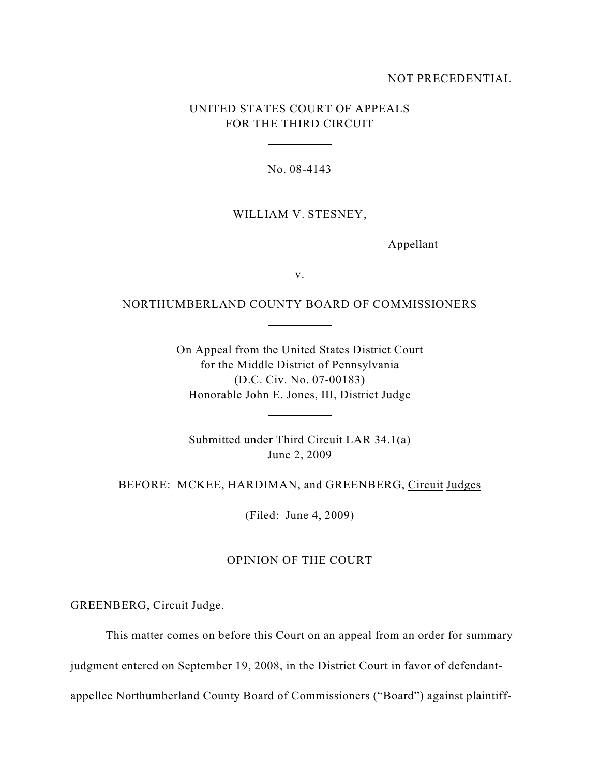## NOT PRECEDENTIAL

# UNITED STATES COURT OF APPEALS FOR THE THIRD CIRCUIT

 $\overline{a}$ 

 $\overline{a}$ 

 $\overline{a}$ 

 $\overline{a}$ 

 $\overline{a}$ 

 $\overline{a}$ 

No. 08-4143

### WILLIAM V. STESNEY,

Appellant

v.

## NORTHUMBERLAND COUNTY BOARD OF COMMISSIONERS

On Appeal from the United States District Court for the Middle District of Pennsylvania (D.C. Civ. No. 07-00183) Honorable John E. Jones, III, District Judge

Submitted under Third Circuit LAR 34.1(a) June 2, 2009

BEFORE: MCKEE, HARDIMAN, and GREENBERG, Circuit Judges

(Filed: June 4, 2009)

## OPINION OF THE COURT

GREENBERG, Circuit Judge.

This matter comes on before this Court on an appeal from an order for summary

judgment entered on September 19, 2008, in the District Court in favor of defendant-

appellee Northumberland County Board of Commissioners ("Board") against plaintiff-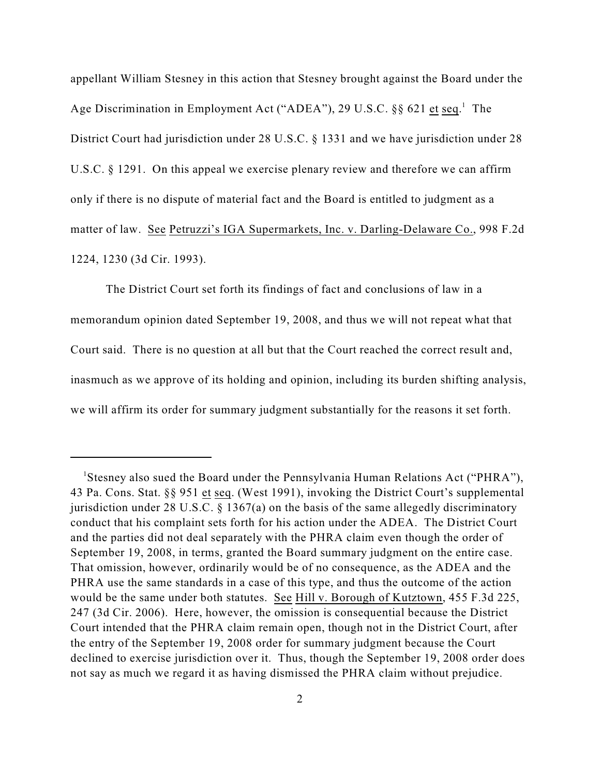appellant William Stesney in this action that Stesney brought against the Board under the Age Discrimination in Employment Act ("ADEA"), 29 U.S.C.  $\S$  621 et seq.<sup>1</sup> The District Court had jurisdiction under 28 U.S.C. § 1331 and we have jurisdiction under 28 U.S.C. § 1291. On this appeal we exercise plenary review and therefore we can affirm only if there is no dispute of material fact and the Board is entitled to judgment as a matter of law. See Petruzzi's IGA Supermarkets, Inc. v. Darling-Delaware Co., 998 F.2d 1224, 1230 (3d Cir. 1993).

The District Court set forth its findings of fact and conclusions of law in a memorandum opinion dated September 19, 2008, and thus we will not repeat what that Court said. There is no question at all but that the Court reached the correct result and, inasmuch as we approve of its holding and opinion, including its burden shifting analysis, we will affirm its order for summary judgment substantially for the reasons it set forth.

<sup>&</sup>lt;sup>1</sup>Stesney also sued the Board under the Pennsylvania Human Relations Act ("PHRA"), 43 Pa. Cons. Stat. §§ 951 et seq. (West 1991), invoking the District Court's supplemental jurisdiction under 28 U.S.C. § 1367(a) on the basis of the same allegedly discriminatory conduct that his complaint sets forth for his action under the ADEA. The District Court and the parties did not deal separately with the PHRA claim even though the order of September 19, 2008, in terms, granted the Board summary judgment on the entire case. That omission, however, ordinarily would be of no consequence, as the ADEA and the PHRA use the same standards in a case of this type, and thus the outcome of the action would be the same under both statutes. See Hill v. Borough of Kutztown, 455 F.3d 225, 247 (3d Cir. 2006). Here, however, the omission is consequential because the District Court intended that the PHRA claim remain open, though not in the District Court, after the entry of the September 19, 2008 order for summary judgment because the Court declined to exercise jurisdiction over it. Thus, though the September 19, 2008 order does not say as much we regard it as having dismissed the PHRA claim without prejudice.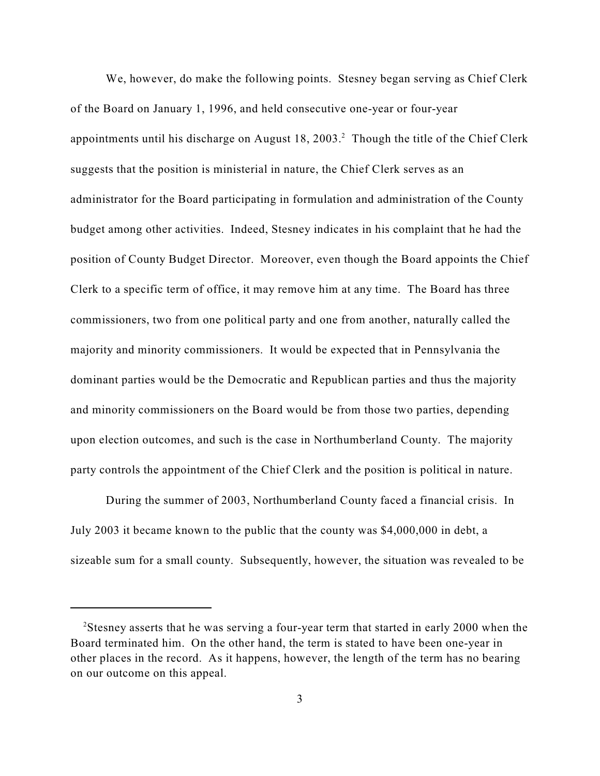We, however, do make the following points. Stesney began serving as Chief Clerk of the Board on January 1, 1996, and held consecutive one-year or four-year appointments until his discharge on August 18, 2003.<sup>2</sup> Though the title of the Chief Clerk suggests that the position is ministerial in nature, the Chief Clerk serves as an administrator for the Board participating in formulation and administration of the County budget among other activities. Indeed, Stesney indicates in his complaint that he had the position of County Budget Director. Moreover, even though the Board appoints the Chief Clerk to a specific term of office, it may remove him at any time. The Board has three commissioners, two from one political party and one from another, naturally called the majority and minority commissioners. It would be expected that in Pennsylvania the dominant parties would be the Democratic and Republican parties and thus the majority and minority commissioners on the Board would be from those two parties, depending upon election outcomes, and such is the case in Northumberland County. The majority party controls the appointment of the Chief Clerk and the position is political in nature.

During the summer of 2003, Northumberland County faced a financial crisis. In July 2003 it became known to the public that the county was \$4,000,000 in debt, a sizeable sum for a small county. Subsequently, however, the situation was revealed to be

<sup>&</sup>lt;sup>2</sup>Stesney asserts that he was serving a four-year term that started in early 2000 when the Board terminated him. On the other hand, the term is stated to have been one-year in other places in the record. As it happens, however, the length of the term has no bearing on our outcome on this appeal.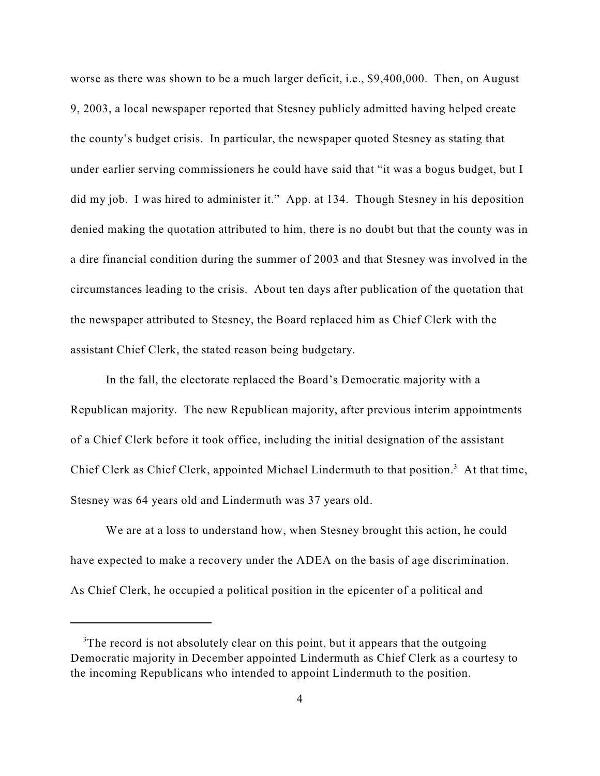worse as there was shown to be a much larger deficit, i.e., \$9,400,000. Then, on August 9, 2003, a local newspaper reported that Stesney publicly admitted having helped create the county's budget crisis. In particular, the newspaper quoted Stesney as stating that under earlier serving commissioners he could have said that "it was a bogus budget, but I did my job. I was hired to administer it." App. at 134. Though Stesney in his deposition denied making the quotation attributed to him, there is no doubt but that the county was in a dire financial condition during the summer of 2003 and that Stesney was involved in the circumstances leading to the crisis. About ten days after publication of the quotation that the newspaper attributed to Stesney, the Board replaced him as Chief Clerk with the assistant Chief Clerk, the stated reason being budgetary.

In the fall, the electorate replaced the Board's Democratic majority with a Republican majority. The new Republican majority, after previous interim appointments of a Chief Clerk before it took office, including the initial designation of the assistant Chief Clerk as Chief Clerk, appointed Michael Lindermuth to that position.<sup>3</sup> At that time, Stesney was 64 years old and Lindermuth was 37 years old.

We are at a loss to understand how, when Stesney brought this action, he could have expected to make a recovery under the ADEA on the basis of age discrimination. As Chief Clerk, he occupied a political position in the epicenter of a political and

<sup>&</sup>lt;sup>3</sup>The record is not absolutely clear on this point, but it appears that the outgoing Democratic majority in December appointed Lindermuth as Chief Clerk as a courtesy to the incoming Republicans who intended to appoint Lindermuth to the position.